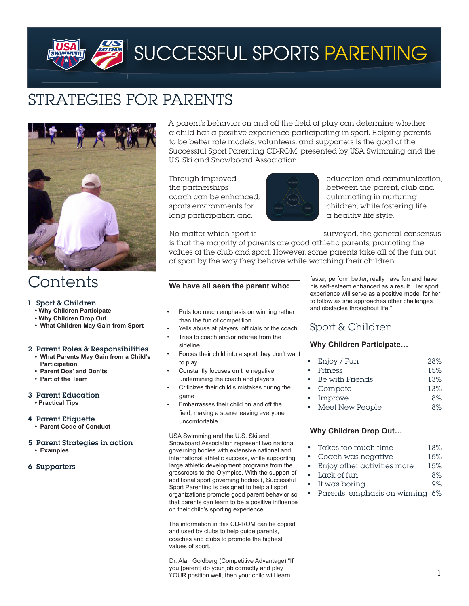# Strategies For Parents



## **Contents**

## 1 Sport & Children

- **• Why Children Participate**
- **• Why Children Drop Out**
- **• What Children May Gain from Sport**

## 2 Parent Roles & Responsibilities

- **• What Parents May Gain from a Child's Participation**
- **• Parent Dos' and Don'ts**
- **• Part of the Team**

## 3 Parent Education

 **• Practical Tips**

#### 4 Parent Etiquette

- **• Parent Code of Conduct**
- 5 Parent Strategies in action  **• Examples**
- 
- 6 Supporters

A parent's behavior on and off the field of play can determine whether a child has a positive experience participating in sport. Helping parents to be better role models, volunteers, and supporters is the goal of the Successful Sport Parenting CD-ROM, presented by USA Swimming and the U.S. Ski and Snowboard Association.

 $\cosh$  can be enhanced,  $\cos$  culminating in nurturing long participation and  $\sqrt{a}$  a healthy life style.



Through improved education and communication, the partnerships between the parent, club and sports environments for  $\overline{\phantom{a}}$  children, while fostering life

No matter which sport is surveyed, the general consensus

is that the majority of parents are good athletic parents, promoting the values of the club and sport. However, some parents take all of the fun out of sport by the way they behave while watching their children.

## **We have all seen the parent who:**

- Puts too much emphasis on winning rather than the fun of competition
- Yells abuse at players, officials or the coach
- Tries to coach and/or referee from the sideline
- Forces their child into a sport they don't want
- to play Constantly focuses on the negative, undermining the coach and players
- Criticizes their child's mistakes during the game
- Embarrasses their child on and off the field, making a scene leaving everyone uncomfortable

USA Swimming and the U.S. Ski and Snowboard Association represent two national governing bodies with extensive national and international athletic success, while supporting large athletic development programs from the grassroots to the Olympics. With the support of additional sport governing bodies (, Successful Sport Parenting is designed to help all sport organizations promote good parent behavior so that parents can learn to be a positive influence on their child's sporting experience.

The information in this CD-ROM can be copied and used by clubs to help guide parents, coaches and clubs to promote the highest values of sport.

Dr. Alan Goldberg (Competitive Advantage) "If you [parent] do your job correctly and play YOUR position well, then your child will learn

faster, perform better, really have fun and have his self-esteem enhanced as a result. Her sport experience will serve as a positive model for her to follow as she approaches other challenges and obstacles throughout life."

## Sport & Children

## **Why Children Participate…**

| • $Eniov / Fun$   | 28% |
|-------------------|-----|
| • Fitness         | 15% |
| • Be with Friends | 13% |
| • Compete         | 13% |
| • Improve         | 8%  |
|                   |     |

Meet New People 8%

## **Why Children Drop Out…**

- Takes too much time 18%
- Coach was negative  $15%$
- Enjoy other activities more 15%
- Lack of fun 8%
- It was boring the control of the 9%
- Parents' emphasis on winning 6%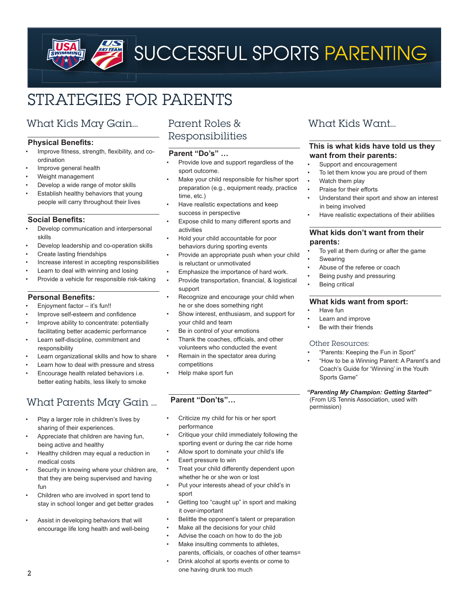# Strategies For Parents

## What Kids May Gain…

## **Physical Benefits:**

- Improve fitness, strength, flexibility, and coordination
- Improve general health
- Weight management
- Develop a wide range of motor skills
- Establish healthy behaviors that young people will carry throughout their lives

## **Social Benefits:**

- Develop communication and interpersonal skills
- Develop leadership and co-operation skills
- Create lasting friendships
- Increase interest in accepting responsibilities
- Learn to deal with winning and losing
- Provide a vehicle for responsible risk-taking

## **Personal Benefits:**

- Enjoyment factor  $-$  it's fun!!
- Improve self-esteem and confidence
- Improve ability to concentrate: potentially facilitating better academic performance
- Learn self-discipline, commitment and responsibility
- Learn organizational skills and how to share
- Learn how to deal with pressure and stress
- Encourage health related behaviors i.e. better eating habits, less likely to smoke

## What Parents May Gain …

- Play a larger role in children's lives by sharing of their experiences.
- Appreciate that children are having fun, being active and healthy
- Healthy children may equal a reduction in medical costs
- Security in knowing where your children are, that they are being supervised and having fun
- Children who are involved in sport tend to stay in school longer and get better grades
- Assist in developing behaviors that will encourage life long health and well-being

## Parent Roles & Responsibilities

## **Parent "Do's" …**

- Provide love and support regardless of the sport outcome.
- Make your child responsible for his/her sport preparation (e.g., equipment ready, practice time, etc.)
- Have realistic expectations and keep success in perspective
- Expose child to many different sports and activities
- Hold your child accountable for poor behaviors during sporting events
- Provide an appropriate push when your child is reluctant or unmotivated
- Emphasize the importance of hard work.
- Provide transportation, financial, & logistical support
- Recognize and encourage your child when he or she does something right
- Show interest, enthusiasm, and support for your child and team
- Be in control of your emotions
- Thank the coaches, officials, and other volunteers who conducted the event
- Remain in the spectator area during competitions
- Help make sport fun

## **Parent "Don'ts"…**

- Criticize my child for his or her sport performance
- Critique your child immediately following the sporting event or during the car ride home
- Allow sport to dominate your child's life
- Exert pressure to win
- Treat your child differently dependent upon whether he or she won or lost
- Put your interests ahead of your child's in sport
- Getting too "caught up" in sport and making it over-important
- Belittle the opponent's talent or preparation
- Make all the decisions for your child
- Advise the coach on how to do the job
- Make insulting comments to athletes, parents, officials, or coaches of other teams=
- Drink alcohol at sports events or come to one having drunk too much

## What Kids Want…

## **This is what kids have told us they want from their parents:**

- Support and encouragement
- To let them know you are proud of them
- Watch them play
- Praise for their efforts
- Understand their sport and show an interest in being involved
- Have realistic expectations of their abilities

#### **What kids don't want from their parents:**

- To yell at them during or after the game Swearing
- Abuse of the referee or coach
- Being pushy and pressuring
- **Being critical**

## **What kids want from sport:**

- • Have fun
- Learn and improve
- Be with their friends

#### Other Resources:

- "Parents: Keeping the Fun in Sport"
- "How to be a Winning Parent: A Parent's and Coach's Guide for 'Winning' in the Youth Sports Game"

#### *"Parenting My Champion: Getting Started"* (From US Tennis Association, used with permission)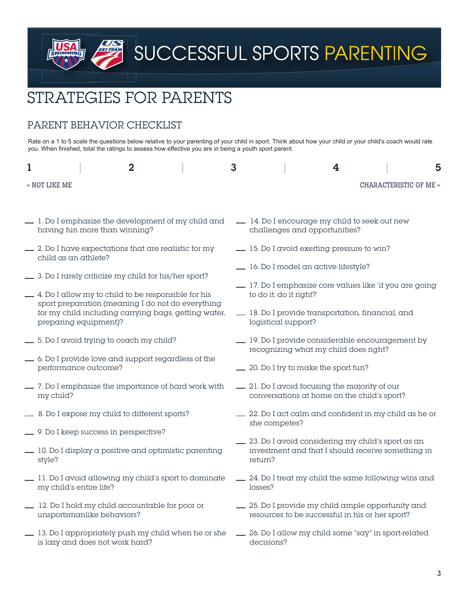# Strategies For Parents

## PARENT BEHAVIOR CHECKLIST

**SKITEAN** 

Rate on a 1 to 5 scale the questions below relative to your parenting of your child in sport. Think about how your child or your child's coach would rate you. When finished, total the ratings to assess how effective you are in being a youth sport parent.

| $\overline{2}$                                                                                                                     | $\mathbf{3}$                                                                       | 4<br>5                                                                                               |  |  |  |
|------------------------------------------------------------------------------------------------------------------------------------|------------------------------------------------------------------------------------|------------------------------------------------------------------------------------------------------|--|--|--|
| « NOT LIKE ME                                                                                                                      |                                                                                    | CHARACTERISTIC OF ME »                                                                               |  |  |  |
|                                                                                                                                    |                                                                                    |                                                                                                      |  |  |  |
| 1. Do I emphasize the development of my child and<br>having fun more than winning?                                                 |                                                                                    | 14. Do I encourage my child to seek out new<br>challenges and opportunities?                         |  |  |  |
| $\frac{1}{2}$ 2. Do I have expectations that are realistic for my<br>child as an athlete?                                          |                                                                                    | -15. Do I avoid exerting pressure to win?                                                            |  |  |  |
| -3. Do I rarely criticize my child for his/her sport?                                                                              | -16. Do I model an active lifestyle?                                               |                                                                                                      |  |  |  |
| $\_\_\_\$ 4. Do I allow my to child to be responsible for his                                                                      | _ 17. Do I emphasize core values like 'if you are going<br>to do it, do it right?' |                                                                                                      |  |  |  |
| sport preparation (meaning I do not do everything<br>for my child including carrying bags, getting water,<br>preparing equipment)? | 18. Do I provide transportation, financial, and<br>logistical support?             |                                                                                                      |  |  |  |
| _6. Do I avoid trying to coach my child?                                                                                           |                                                                                    | - 19. Do I provide considerable encouragement by<br>recognizing what my child does right?            |  |  |  |
| - 6. Do I provide love and support regardless of the<br>performance outcome?                                                       | - 20. Do I try to make the sport fun?                                              |                                                                                                      |  |  |  |
| -7. Do I emphasize the importance of hard work with<br>my child?                                                                   |                                                                                    | - 21. Do I avoid focusing the majority of our<br>conversations at home on the child's sport?         |  |  |  |
| -8. Do I expose my child to different sports?                                                                                      |                                                                                    | = 22. Do I act calm and confident in my child as he or<br>she competes?                              |  |  |  |
| - 9. Do I keep success in perspective?                                                                                             |                                                                                    | - 23. Do I avoid considering my child's sport as an                                                  |  |  |  |
| _ 10. Do I display a positive and optimistic parenting<br>style?                                                                   |                                                                                    | investment and that I should receive something in<br>return?                                         |  |  |  |
| 11. Do I avoid allowing my child's sport to dominate<br>my child's entire life?                                                    |                                                                                    | - 24. Do I treat my child the same following wins and<br>losses?                                     |  |  |  |
| 12. Do I hold my child accountable for poor or<br>unsportsmanlike behaviors?                                                       |                                                                                    | _ 25. Do I provide my child ample opportunity and<br>resources to be successful in his or her sport? |  |  |  |
| 13. Do I appropriately push my child when he or she<br>is lazy and does not work hard?                                             |                                                                                    | - 26. Do I allow my child some "say" in sport-related<br>decisions?                                  |  |  |  |
|                                                                                                                                    |                                                                                    |                                                                                                      |  |  |  |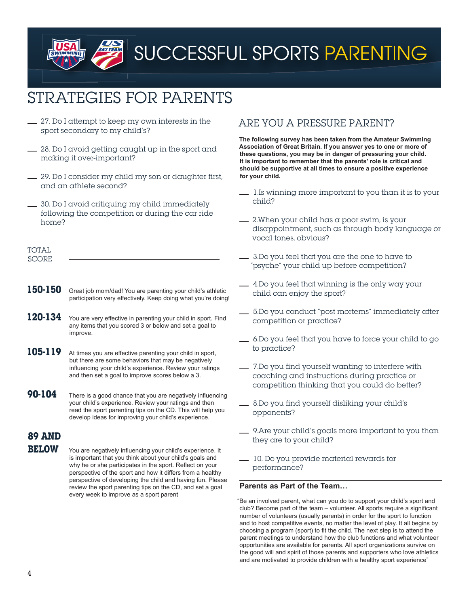## Strategies For Parents

- $\frac{1}{27}$ . Do I attempt to keep my own interests in the sport secondary to my child's?
- 28. Do I avoid getting caught up in the sport and making it over-important?
- 29. Do I consider my child my son or daughter first, and an athlete second?
- 30. Do I avoid critiquing my child immediately following the competition or during the car ride home?

| $T\cap T \Delta T$ |  |  |  |
|--------------------|--|--|--|
| SCODE              |  |  |  |

- 150-150 Great job mom/dad! You are parenting your child's athletic participation very effectively. Keep doing what you're doing!
- 120-134 You are very effective in parenting your child in sport. Find any items that you scored 3 or below and set a goal to improve.
- 105-119 At times you are effective parenting your child in sport, but there are some behaviors that may be negatively influencing your child's experience. Review your ratings and then set a goal to improve scores below a 3.
- **90-104** There is a good chance that you are negatively influencing your child's experience. Review your ratings and then read the sport parenting tips on the CD. This will help you develop ideas for improving your child's experience.

## **89 and**

**BELOW** You are negatively influencing your child's experience. It is important that you think about your child's goals and why he or she participates in the sport. Reflect on your perspective of the sport and how it differs from a healthy perspective of developing the child and having fun. Please review the sport parenting tips on the CD, and set a goal every week to improve as a sport parent

## Are You a Pressure Parent?

**The following survey has been taken from the Amateur Swimming Association of Great Britain. If you answer yes to one or more of these questions, you may be in danger of pressuring your child. It is important to remember that the parents' role is critical and should be supportive at all times to ensure a positive experience for your child.**

- $\frac{1}{15}$  1.Is winning more important to you than it is to your child?
- 2.When your child has a poor swim, is your disappointment, such as through body language or vocal tones, obvious?
- 3.Do you feel that you are the one to have to "psyche" your child up before competition?
- 4.Do you feel that winning is the only way your child can enjoy the sport?
- 5.Do you conduct "post mortems" immediately after competition or practice?
- 6.Do you feel that you have to force your child to go to practice?
- 7.Do you find yourself wanting to interfere with coaching and instructions during practice or competition thinking that you could do better?
- 8.Do you find yourself disliking your child's opponents?
- 9.Are your child's goals more important to you than they are to your child?
- 10. Do you provide material rewards for performance?

## **Parents as Part of the Team…**

"Be an involved parent, what can you do to support your child's sport and club? Become part of the team – volunteer. All sports require a significant number of volunteers (usually parents) in order for the sport to function and to host competitive events, no matter the level of play. It all begins by choosing a program (sport) to fit the child. The next step is to attend the parent meetings to understand how the club functions and what volunteer opportunities are available for parents. All sport organizations survive on the good will and spirit of those parents and supporters who love athletics and are motivated to provide children with a healthy sport experience"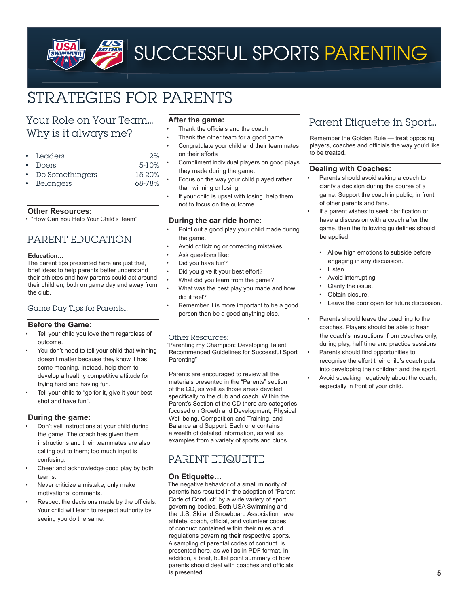## Strategies For Parents

## Your Role on Your Team… Why is it always me?

- Leaders 2%
- Doers 5-10%
- Do Somethingers 15-20%
- Belongers 68-78%

#### **Other Resources:**

• "How Can You Help Your Child's Team"

## Parent Education

#### **Education…**

The parent tips presented here are just that, brief ideas to help parents better understand their athletes and how parents could act around their children, both on game day and away from the club.

## Game Day Tips for Parents…

## **Before the Game:**

- Tell your child you love them regardless of outcome.
- You don't need to tell your child that winning doesn't matter because they know it has some meaning. Instead, help them to develop a healthy competitive attitude for trying hard and having fun.
- Tell your child to "go for it, give it your best shot and have fun".

## **During the game:**

- Don't yell instructions at your child during the game. The coach has given them instructions and their teammates are also calling out to them; too much input is confusing.
- Cheer and acknowledge good play by both teams.
- Never criticize a mistake, only make motivational comments.
- Respect the decisions made by the officials. Your child will learn to respect authority by seeing you do the same.

## **After the game:**

- Thank the officials and the coach
- Thank the other team for a good game Congratulate your child and their teammates
- on their efforts
- Compliment individual players on good plays they made during the game.
- Focus on the way your child played rather than winning or losing.
- If your child is upset with losing, help them not to focus on the outcome.

## **During the car ride home:**

- Point out a good play your child made during the game.
- Avoid criticizing or correcting mistakes
- Ask questions like:
- Did you have fun?
- Did you give it your best effort?
- What did you learn from the game?
- What was the best play you made and how did it feel?
- Remember it is more important to be a good person than be a good anything else.

## Other Resources:

"Parenting my Champion: Developing Talent: Recommended Guidelines for Successful Sport Parenting"

Parents are encouraged to review all the materials presented in the "Parents" section of the CD, as well as those areas devoted specifically to the club and coach. Within the Parent's Section of the CD there are categories focused on Growth and Development, Physical Well-being, Competition and Training, and Balance and Support. Each one contains a wealth of detailed information, as well as examples from a variety of sports and clubs.

## PARENT ETIQUETTE

## **On Etiquette…**

The negative behavior of a small minority of parents has resulted in the adoption of "Parent Code of Conduct" by a wide variety of sport governing bodies. Both USA Swimming and the U.S. Ski and Snowboard Association have athlete, coach, official, and volunteer codes of conduct contained within their rules and regulations governing their respective sports. A sampling of parental codes of conduct is presented here, as well as in PDF format. In addition, a brief, bullet point summary of how parents should deal with coaches and officials is presented.

## Parent Etiquette in Sport…

Remember the Golden Rule — treat opposing players, coaches and officials the way you'd like to be treated.

## **Dealing with Coaches:**

- Parents should avoid asking a coach to clarify a decision during the course of a game. Support the coach in public, in front of other parents and fans.
- If a parent wishes to seek clarification or have a discussion with a coach after the game, then the following guidelines should be applied:
	- Allow high emotions to subside before engaging in any discussion.
	- Listen.
	- Avoid interrupting.
	- Clarify the issue.
	- Obtain closure.
	- Leave the door open for future discussion.
- Parents should leave the coaching to the coaches. Players should be able to hear the coach's instructions, from coaches only, during play, half time and practice sessions.
- Parents should find opportunities to recognise the effort their child's coach puts into developing their children and the sport. Avoid speaking negatively about the coach,
- especially in front of your child.